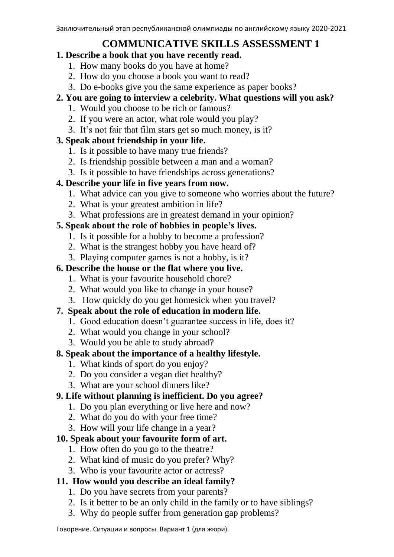# **COMMUNICATIVE SKILLS ASSESSMENT 1**

- **1. Describe a book that you have recently read.**
	- 1. How many books do you have at home?
	- 2. How do you choose a book you want to read?
	- 3. Do e-books give you the same experience as paper books?
- **2. You are going to interview a celebrity. What questions will you ask?** 
	- 1. Would you choose to be rich or famous?
	- 2. If you were an actor, what role would you play?
	- 3. It's not fair that film stars get so much money, is it?

## **3. Speak about friendship in your life.**

- 1. Is it possible to have many true friends?
- 2. Is friendship possible between a man and a woman?
- 3. Is it possible to have friendships across generations?

### **4. Describe your life in five years from now.**

- 1. What advice can you give to someone who worries about the future?
- 2. What is your greatest ambition in life?
- 3. What professions are in greatest demand in your opinion?

## **5. Speak about the role of hobbies in people's lives.**

- 1. Is it possible for a hobby to become a profession?
- 2. What is the strangest hobby you have heard of?
- 3. Playing computer games is not a hobby, is it?

## **6. Describe the house or the flat where you live.**

- 1. What is your favourite household chore?
- 2. What would you like to change in your house?
- 3. How quickly do you get homesick when you travel?

## **7. Speak about the role of education in modern life.**

- 1. Good education doesn't guarantee success in life, does it?
- 2. What would you change in your school?
- 3. Would you be able to study abroad?

## **8. Speak about the importance of a healthy lifestyle.**

- 1. What kinds of sport do you enjoy?
- 2. Do you consider a vegan diet healthy?
- 3. What are your school dinners like?

## **9. Life without planning is inefficient. Do you agree?**

- 1. Do you plan everything or live here and now?
- 2. What do you do with your free time?
- 3. How will your life change in a year?

## **10. Speak about your favourite form of art.**

- 1. How often do you go to the theatre?
- 2. What kind of music do you prefer? Why?
- 3. Who is your favourite actor or actress?

## **11. How would you describe an ideal family?**

- 1. Do you have secrets from your parents?
- 2. Is it better to be an only child in the family or to have siblings?
- 3. Why do people suffer from generation gap problems?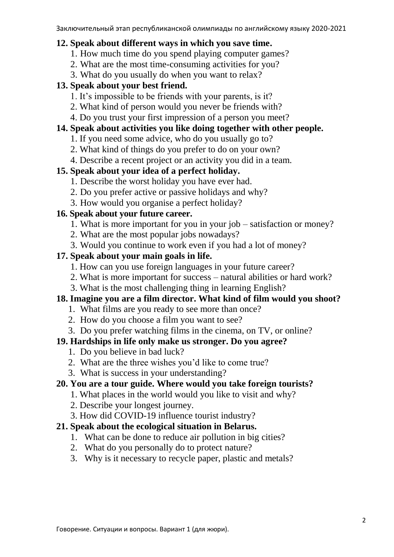#### **12. Speak about different ways in which you save time.**

- 1. How much time do you spend playing computer games?
- 2. What are the most time-consuming activities for you?
- 3. What do you usually do when you want to relax?

#### **13. Speak about your best friend.**

- 1. It's impossible to be friends with your parents, is it?
- 2. What kind of person would you never be friends with?
- 4. Do you trust your first impression of a person you meet?

### **14. Speak about activities you like doing together with other people.**

- 1. If you need some advice, who do you usually go to?
- 2. What kind of things do you prefer to do on your own?
- 4. Describe a recent project or an activity you did in a team.

### **15. Speak about your idea of a perfect holiday.**

- 1. Describe the worst holiday you have ever had.
- 2. Do you prefer active or passive holidays and why?
- 3. How would you organise a perfect holiday?

### **16. Speak about your future career.**

- 1. What is more important for you in your job satisfaction or money?
- 2. What are the most popular jobs nowadays?
- 3. Would you continue to work even if you had a lot of money?

#### **17. Speak about your main goals in life.**

- 1. How can you use foreign languages in your future career?
- 2. What is more important for success natural abilities or hard work?
- 3. What is the most challenging thing in learning English?

### **18. Imagine you are a film director. What kind of film would you shoot?**

- 1. What films are you ready to see more than once?
- 2. How do you choose a film you want to see?
- 3. Do you prefer watching films in the cinema, on TV, or online?

#### **19. Hardships in life only make us stronger. Do you agree?**

- 1. Do you believe in bad luck?
- 2. What are the three wishes you'd like to come true?
- 3. What is success in your understanding?

#### **20. You are a tour guide. Where would you take foreign tourists?**

- 1. What places in the world would you like to visit and why?
- 2. Describe your longest journey.
- 3. How did COVID-19 influence tourist industry?

### **21. Speak about the ecological situation in Belarus.**

- 1. What can be done to reduce air pollution in big cities?
- 2. What do you personally do to protect nature?
- 3. Why is it necessary to recycle paper, plastic and metals?